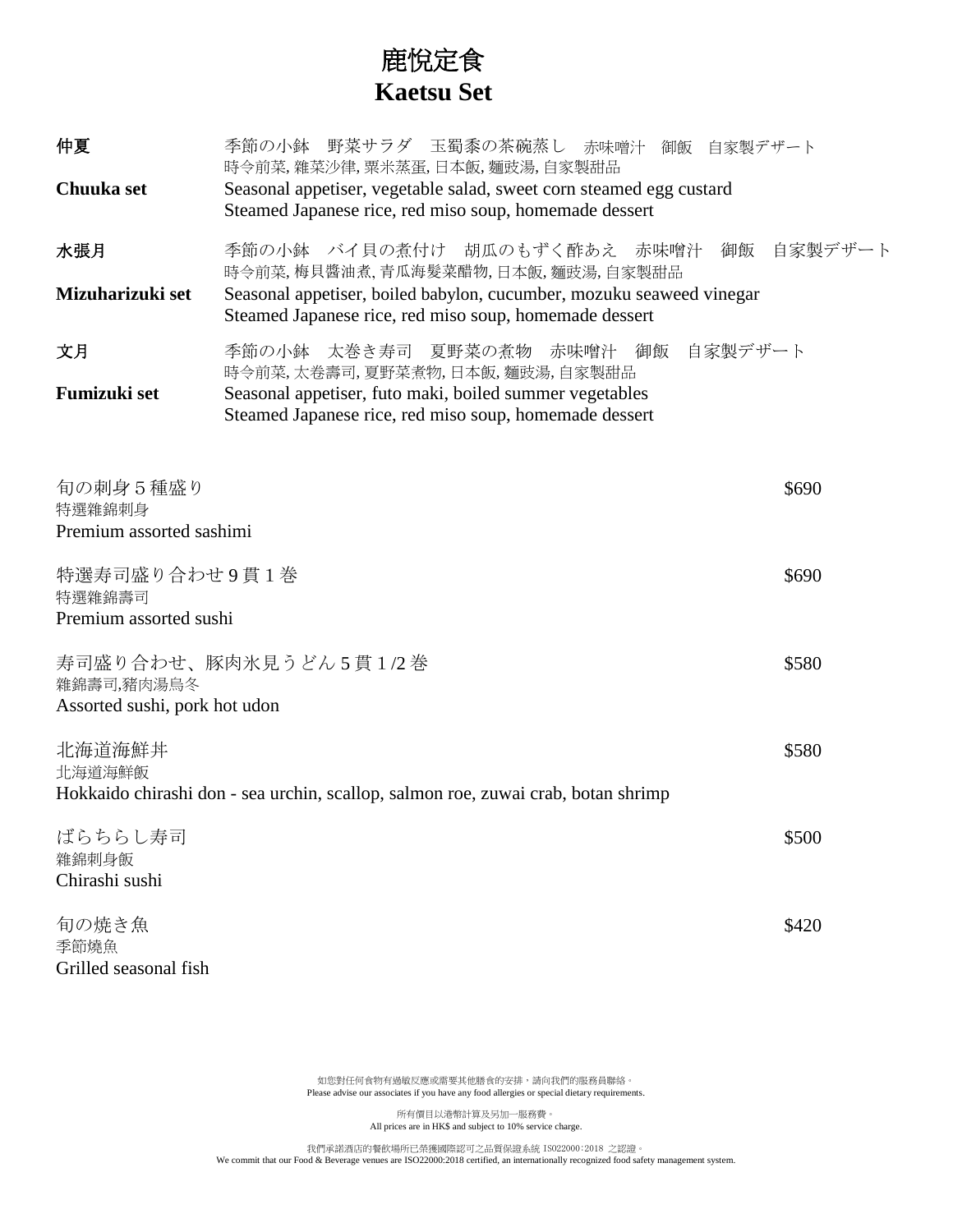## 鹿悅定食  **Kaetsu Set**

| 仲夏<br>Chuuka set                                                                                      | 季節の小鉢 野菜サラダ 玉蜀黍の茶碗蒸し 赤味噌汁 御飯 自家製デザート<br>時令前菜,雜菜沙律,粟米蒸蛋,日本飯,麵豉湯,自家製甜品<br>Seasonal appetiser, vegetable salad, sweet corn steamed egg custard<br>Steamed Japanese rice, red miso soup, homemade dessert |         |
|-------------------------------------------------------------------------------------------------------|-------------------------------------------------------------------------------------------------------------------------------------------------------------------------------------------------------|---------|
| 水張月                                                                                                   | 季節の小鉢 バイ貝の煮付け 胡瓜のもずく酢あえ 赤味噌汁 御飯<br>時令前菜,梅貝醬油煮,青瓜海髮菜醋物,日本飯,麵豉湯,自家製甜品                                                                                                                                   | 自家製デザート |
| Mizuharizuki set                                                                                      | Seasonal appetiser, boiled babylon, cucumber, mozuku seaweed vinegar<br>Steamed Japanese rice, red miso soup, homemade dessert                                                                        |         |
| 文月                                                                                                    | 季節の小鉢 太巻き寿司 夏野菜の煮物 赤味噌汁 御飯 自家製デザート<br>時令前菜,太卷壽司,夏野菜煮物,日本飯,麵豉湯,自家製甜品                                                                                                                                   |         |
| Fumizuki set                                                                                          | Seasonal appetiser, futo maki, boiled summer vegetables<br>Steamed Japanese rice, red miso soup, homemade dessert                                                                                     |         |
|                                                                                                       |                                                                                                                                                                                                       |         |
| 旬の刺身5種盛り<br>特選雜錦刺身<br>Premium assorted sashimi                                                        |                                                                                                                                                                                                       | \$690   |
| 特選寿司盛り合わせ9貫1巻<br>特選雜錦壽司<br>Premium assorted sushi                                                     |                                                                                                                                                                                                       | \$690   |
| 寿司盛り合わせ、豚肉氷見うどん5貫1/2巻<br>雜錦壽司,豬肉湯烏冬<br>Assorted sushi, pork hot udon                                  |                                                                                                                                                                                                       | \$580   |
| 北海道海鮮丼<br>北海道海鮮飯<br>Hokkaido chirashi don - sea urchin, scallop, salmon roe, zuwai crab, botan shrimp |                                                                                                                                                                                                       | \$580   |
| ばらちらし寿司<br>雜錦刺身飯<br>Chirashi sushi                                                                    |                                                                                                                                                                                                       | \$500   |
| 旬の焼き魚<br>季節燒魚                                                                                         |                                                                                                                                                                                                       |         |

如您對任何食物有過敏反應或需要其他膳食的安排,請向我們的服務員聯絡。 Please advise our associates if you have any food allergies or special dietary requirements.

Grilled seasonal fish

所有價目以港幣計算及另加一服務費。 All prices are in HK\$ and subject to 10% service charge.

我們承諾酒店的餐飲場所已榮獲國際認可之品質保證系統 ISO22000:2018 之認證。 We commit that our Food & Beverage venues are ISO22000:2018 certified, an internationally recognized food safety management system.